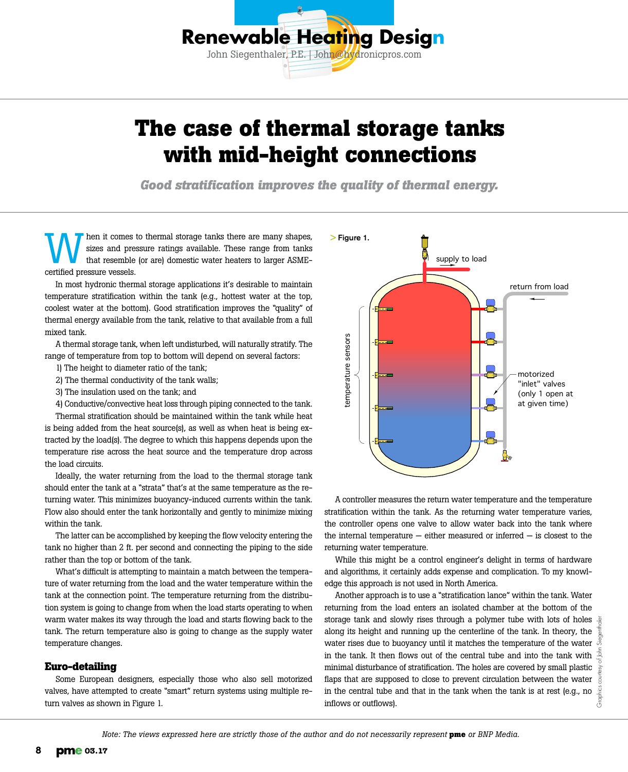

# **The case of thermal storage tanks with mid-height connections**

*Good stratification improves the quality of thermal energy.*

Men it comes to thermal storage tanks there are many shapes,<br>sizes and pressure ratings available. These range from tanks<br>that resemble (or are) domestic water heaters to larger ASME-<br>cortified pressure wascels sizes and pressure ratings available. These range from tanks that resemble (or are) domestic water heaters to larger ASMEcertified pressure vessels.

In most hydronic thermal storage applications it's desirable to maintain temperature stratification within the tank (e.g., hottest water at the top, coolest water at the bottom). Good stratification improves the "quality" of thermal energy available from the tank, relative to that available from a full mixed tank.

A thermal storage tank, when left undisturbed, will naturally stratify. The range of temperature from top to bottom will depend on several factors:

- 1) The height to diameter ratio of the tank;
- 2) The thermal conductivity of the tank walls;
- 3) The insulation used on the tank; and
- 4) Conductive/convective heat loss through piping connected to the tank.

Thermal stratification should be maintained within the tank while heat is being added from the heat source(s), as well as when heat is being extracted by the load(s). The degree to which this happens depends upon the temperature rise across the heat source and the temperature drop across the load circuits.

Ideally, the water returning from the load to the thermal storage tank should enter the tank at a "strata" that's at the same temperature as the returning water. This minimizes buoyancy-induced currents within the tank. Flow also should enter the tank horizontally and gently to minimize mixing within the tank.

The latter can be accomplished by keeping the flow velocity entering the tank no higher than 2 ft. per second and connecting the piping to the side rather than the top or bottom of the tank.

What's difficult is attempting to maintain a match between the temperature of water returning from the load and the water temperature within the tank at the connection point. The temperature returning from the distribution system is going to change from when the load starts operating to when warm water makes its way through the load and starts flowing back to the tank. The return temperature also is going to change as the supply water temperature changes.

### **Euro-detailing**

Some European designers, especially those who also sell motorized valves, have attempted to create "smart" return systems using multiple return valves as shown in Figure 1.



A controller measures the return water temperature and the temperature stratification within the tank. As the returning water temperature varies, the controller opens one valve to allow water back into the tank where the internal temperature  $-$  either measured or inferred  $-$  is closest to the returning water temperature.

While this might be a control engineer's delight in terms of hardware and algorithms, it certainly adds expense and complication. To my knowledge this approach is not used in North America.

Another approach is to use a "stratification lance" within the tank. Water returning from the load enters an isolated chamber at the bottom of the storage tank and slowly rises through a polymer tube with lots of holes  $\frac{5}{6}$ along its height and running up the centerline of the tank. In theory, the water rises due to buoyancy until it matches the temperature of the water in the tank. It then flows out of the central tube and into the tank with minimal disturbance of stratification. The holes are covered by small plastic flaps that are supposed to close to prevent circulation between the water in the central tube and that in the tank when the tank is at rest (e.g., no inflows or outflows).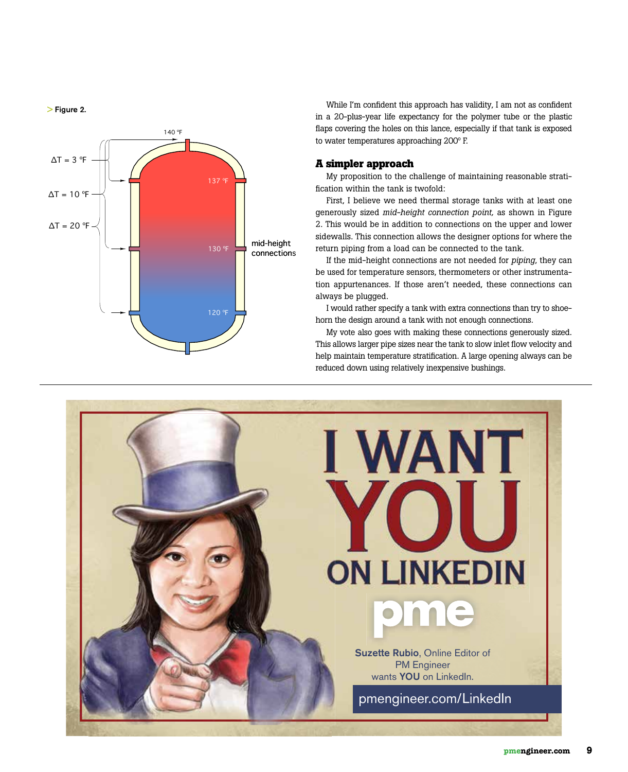> Figure 2.



While I'm confident this approach has validity, I am not as confident in a 20-plus-year life expectancy for the polymer tube or the plastic flaps covering the holes on this lance, especially if that tank is exposed to water temperatures approaching 200º F.

#### **A simpler approach**

My proposition to the challenge of maintaining reasonable stratification within the tank is twofold:

First, I believe we need thermal storage tanks with at least one generously sized *mid-height connection point,* as shown in Figure 2. This would be in addition to connections on the upper and lower sidewalls. This connection allows the designer options for where the return piping from a load can be connected to the tank.

If the mid-height connections are not needed for *piping*, they can be used for temperature sensors, thermometers or other instrumentation appurtenances. If those aren't needed, these connections can always be plugged.

I would rather specify a tank with extra connections than try to shoehorn the design around a tank with not enough connections.

My vote also goes with making these connections generously sized. This allows larger pipe sizes near the tank to slow inlet flow velocity and help maintain temperature stratification. A large opening always can be reduced down using relatively inexpensive bushings.